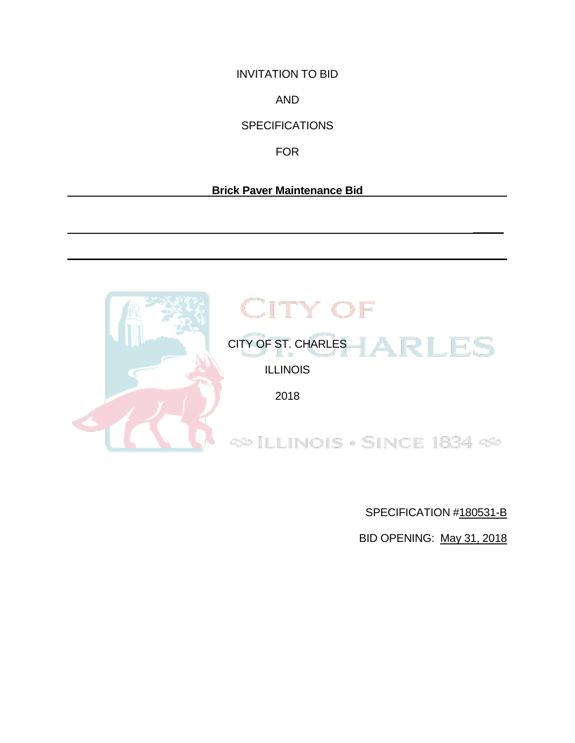INVITATION TO BID

AND

**SPECIFICATIONS** 

FOR

# **Brick Paver Maintenance Bid**

 **\_\_\_\_\_** 



SPECIFICATION #180531-B

BID OPENING: May 31, 2018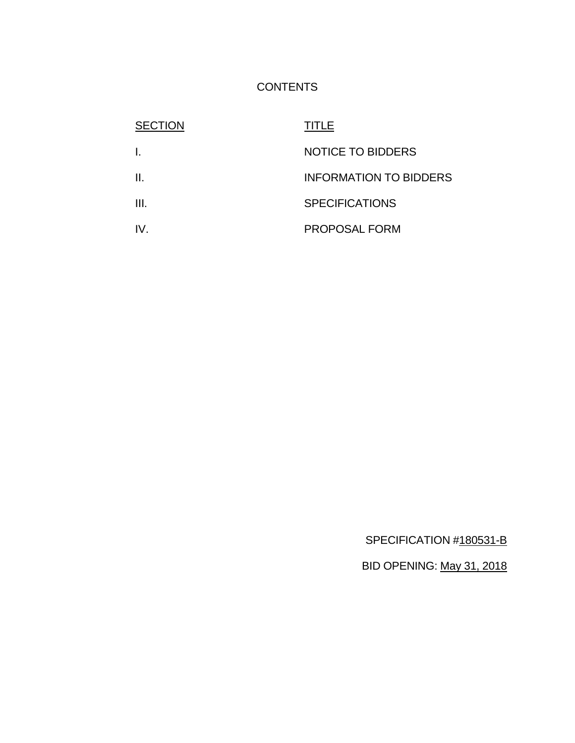# **CONTENTS**

| <b>SECTION</b> | TITLE                         |
|----------------|-------------------------------|
|                | <b>NOTICE TO BIDDERS</b>      |
| Ш.             | <b>INFORMATION TO BIDDERS</b> |
| III.           | <b>SPECIFICATIONS</b>         |
| IV.            | <b>PROPOSAL FORM</b>          |

SPECIFICATION #180531-B

BID OPENING: May 31, 2018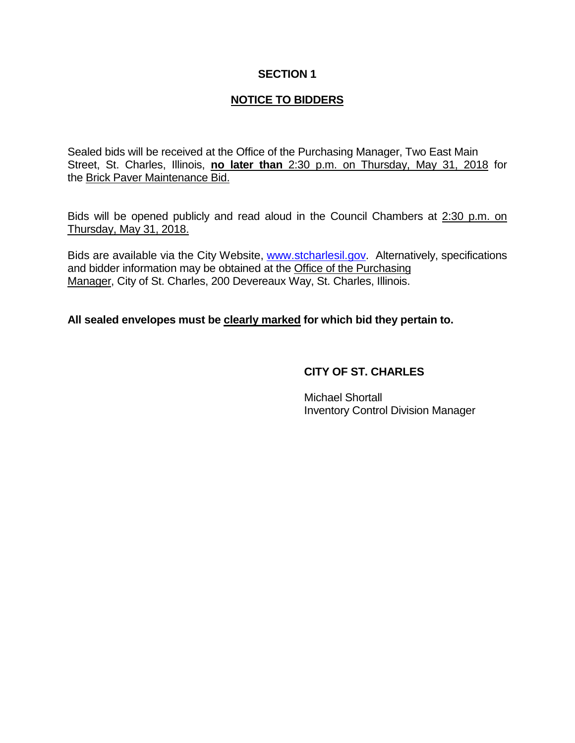## **SECTION 1**

# **NOTICE TO BIDDERS**

Sealed bids will be received at the Office of the Purchasing Manager, Two East Main Street, St. Charles, Illinois, **no later than** 2:30 p.m. on Thursday, May 31, 2018 for the Brick Paver Maintenance Bid.

Bids will be opened publicly and read aloud in the Council Chambers at 2:30 p.m. on Thursday, May 31, 2018.

Bids are available via the City Website, [www.stcharlesil.gov.](http://www.stcharlesil.gov/) Alternatively, specifications and bidder information may be obtained at the Office of the Purchasing Manager, City of St. Charles, 200 Devereaux Way, St. Charles, Illinois.

# **All sealed envelopes must be clearly marked for which bid they pertain to.**

# **CITY OF ST. CHARLES**

Michael Shortall Inventory Control Division Manager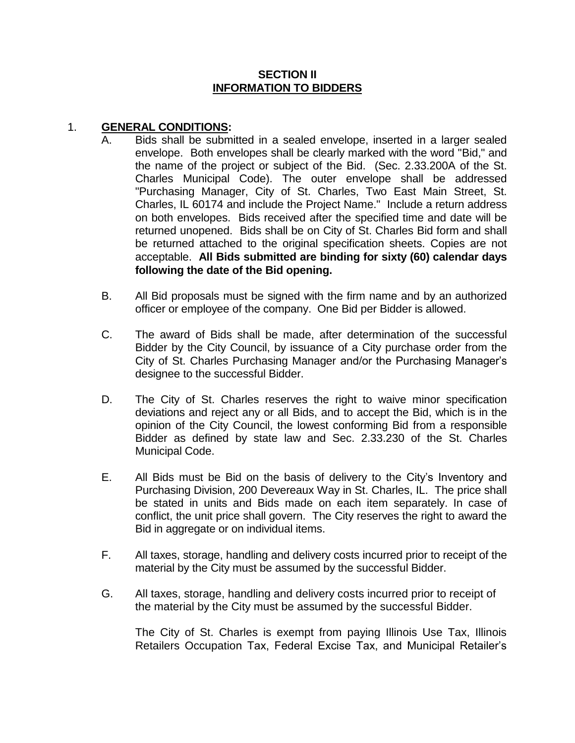#### **SECTION II INFORMATION TO BIDDERS**

#### 1. **GENERAL CONDITIONS:**

- A. Bids shall be submitted in a sealed envelope, inserted in a larger sealed envelope. Both envelopes shall be clearly marked with the word "Bid," and the name of the project or subject of the Bid. (Sec. 2.33.200A of the St. Charles Municipal Code). The outer envelope shall be addressed "Purchasing Manager, City of St. Charles, Two East Main Street, St. Charles, IL 60174 and include the Project Name." Include a return address on both envelopes. Bids received after the specified time and date will be returned unopened. Bids shall be on City of St. Charles Bid form and shall be returned attached to the original specification sheets. Copies are not acceptable. **All Bids submitted are binding for sixty (60) calendar days following the date of the Bid opening.**
- B. All Bid proposals must be signed with the firm name and by an authorized officer or employee of the company. One Bid per Bidder is allowed.
- C. The award of Bids shall be made, after determination of the successful Bidder by the City Council, by issuance of a City purchase order from the City of St. Charles Purchasing Manager and/or the Purchasing Manager's designee to the successful Bidder.
- D. The City of St. Charles reserves the right to waive minor specification deviations and reject any or all Bids, and to accept the Bid, which is in the opinion of the City Council, the lowest conforming Bid from a responsible Bidder as defined by state law and Sec. 2.33.230 of the St. Charles Municipal Code.
- E. All Bids must be Bid on the basis of delivery to the City's Inventory and Purchasing Division, 200 Devereaux Way in St. Charles, IL. The price shall be stated in units and Bids made on each item separately. In case of conflict, the unit price shall govern. The City reserves the right to award the Bid in aggregate or on individual items.
- F. All taxes, storage, handling and delivery costs incurred prior to receipt of the material by the City must be assumed by the successful Bidder.
- G. All taxes, storage, handling and delivery costs incurred prior to receipt of the material by the City must be assumed by the successful Bidder.

The City of St. Charles is exempt from paying Illinois Use Tax, Illinois Retailers Occupation Tax, Federal Excise Tax, and Municipal Retailer's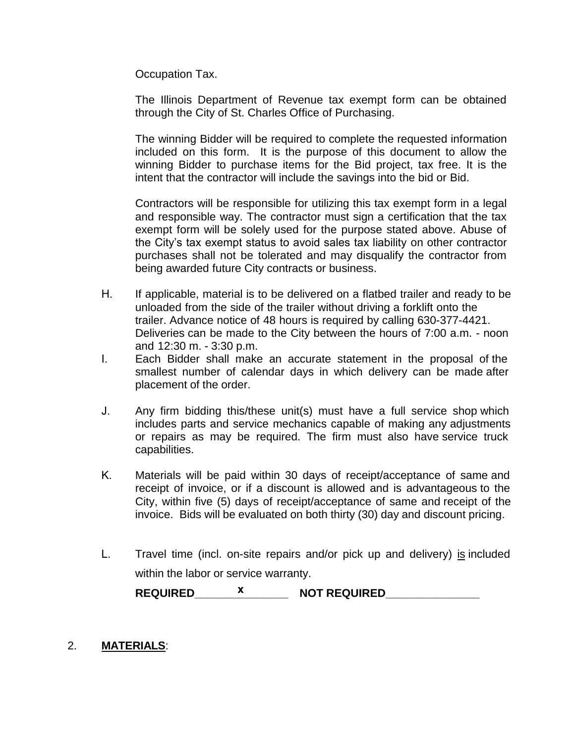Occupation Tax.

The Illinois Department of Revenue tax exempt form can be obtained through the City of St. Charles Office of Purchasing.

The winning Bidder will be required to complete the requested information included on this form. It is the purpose of this document to allow the winning Bidder to purchase items for the Bid project, tax free. It is the intent that the contractor will include the savings into the bid or Bid.

Contractors will be responsible for utilizing this tax exempt form in a legal and responsible way. The contractor must sign a certification that the tax exempt form will be solely used for the purpose stated above. Abuse of the City's tax exempt status to avoid sales tax liability on other contractor purchases shall not be tolerated and may disqualify the contractor from being awarded future City contracts or business.

- H. If applicable, material is to be delivered on a flatbed trailer and ready to be unloaded from the side of the trailer without driving a forklift onto the trailer. Advance notice of 48 hours is required by calling 630-377-4421. Deliveries can be made to the City between the hours of 7:00 a.m. - noon and 12:30 m. - 3:30 p.m.
- I. Each Bidder shall make an accurate statement in the proposal of the smallest number of calendar days in which delivery can be made after placement of the order.
- J. Any firm bidding this/these unit(s) must have a full service shop which includes parts and service mechanics capable of making any adjustments or repairs as may be required. The firm must also have service truck capabilities.
- K. Materials will be paid within 30 days of receipt/acceptance of same and receipt of invoice, or if a discount is allowed and is advantageous to the City, within five (5) days of receipt/acceptance of same and receipt of the invoice. Bids will be evaluated on both thirty (30) day and discount pricing.
- L. Travel time (incl. on-site repairs and/or pick up and delivery) is included within the labor or service warranty.

**REQUIRED\_\_\_\_\_\_\_\_\_\_ x \_\_\_\_\_ NOT REQUIRED\_\_\_\_\_\_\_\_\_\_\_\_\_\_\_** 

# 2. **MATERIALS**: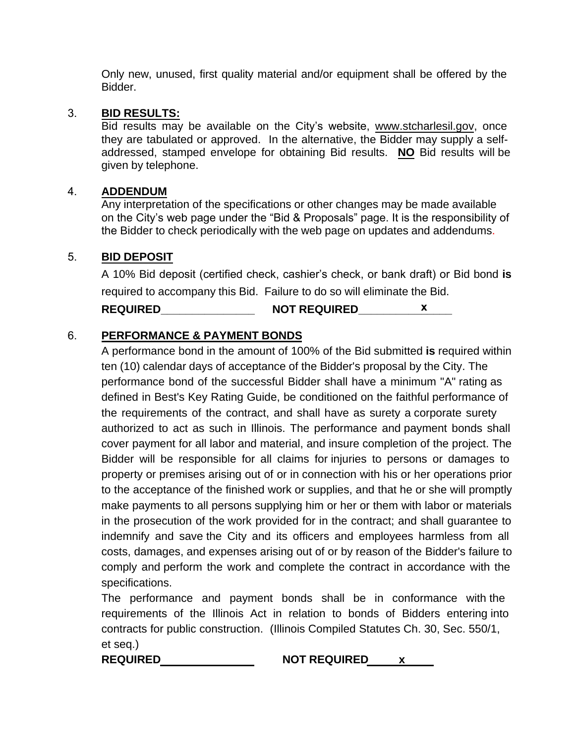Only new, unused, first quality material and/or equipment shall be offered by the Bidder.

## 3. **BID RESULTS:**

Bid results may be available on the City's website, www.stcharlesil.gov, once they are tabulated or approved. In the alternative, the Bidder may supply a selfaddressed, stamped envelope for obtaining Bid results. **NO** Bid results will be given by telephone.

### 4. **ADDENDUM**

Any interpretation of the specifications or other changes may be made available on the City's web page under the "Bid & Proposals" page. It is the responsibility of the Bidder to check periodically with the web page on updates and addendums.

# 5. **BID DEPOSIT**

A 10% Bid deposit (certified check, cashier's check, or bank draft) or Bid bond **is** required to accompany this Bid. Failure to do so will eliminate the Bid. **REQUIRED\_\_\_\_\_\_\_\_\_\_\_\_\_\_\_ NOT REQUIRED\_\_\_\_\_\_\_\_\_\_x\_\_\_\_\_**

# 6. **PERFORMANCE & PAYMENT BONDS**

A performance bond in the amount of 100% of the Bid submitted **is** required within ten (10) calendar days of acceptance of the Bidder's proposal by the City. The performance bond of the successful Bidder shall have a minimum "A" rating as defined in Best's Key Rating Guide, be conditioned on the faithful performance of the requirements of the contract, and shall have as surety a corporate surety authorized to act as such in Illinois. The performance and payment bonds shall cover payment for all labor and material, and insure completion of the project. The Bidder will be responsible for all claims for injuries to persons or damages to property or premises arising out of or in connection with his or her operations prior to the acceptance of the finished work or supplies, and that he or she will promptly make payments to all persons supplying him or her or them with labor or materials in the prosecution of the work provided for in the contract; and shall guarantee to indemnify and save the City and its officers and employees harmless from all costs, damages, and expenses arising out of or by reason of the Bidder's failure to comply and perform the work and complete the contract in accordance with the specifications.

The performance and payment bonds shall be in conformance with the requirements of the Illinois Act in relation to bonds of Bidders entering into contracts for public construction. (Illinois Compiled Statutes Ch. 30, Sec. 550/1, et seq.)

**REQUIRED NOT REQUIRED x**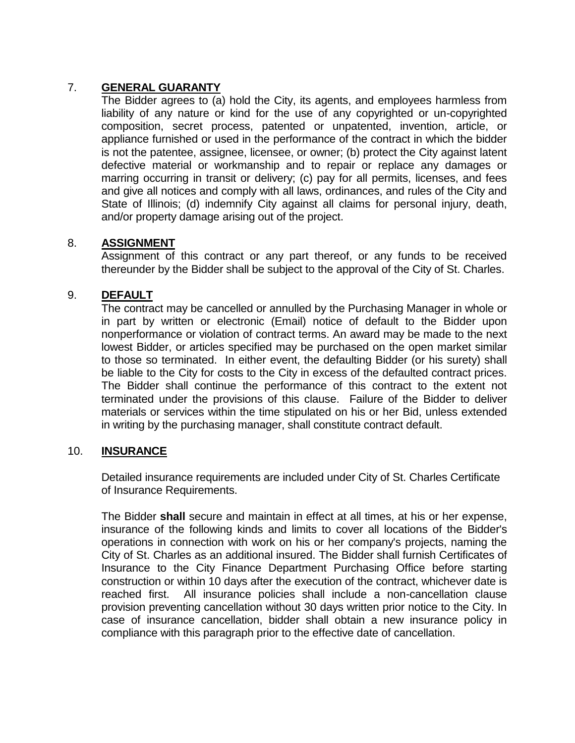# 7. **GENERAL GUARANTY**

The Bidder agrees to (a) hold the City, its agents, and employees harmless from liability of any nature or kind for the use of any copyrighted or un-copyrighted composition, secret process, patented or unpatented, invention, article, or appliance furnished or used in the performance of the contract in which the bidder is not the patentee, assignee, licensee, or owner; (b) protect the City against latent defective material or workmanship and to repair or replace any damages or marring occurring in transit or delivery; (c) pay for all permits, licenses, and fees and give all notices and comply with all laws, ordinances, and rules of the City and State of Illinois; (d) indemnify City against all claims for personal injury, death, and/or property damage arising out of the project.

# 8. **ASSIGNMENT**

Assignment of this contract or any part thereof, or any funds to be received thereunder by the Bidder shall be subject to the approval of the City of St. Charles.

# 9. **DEFAULT**

The contract may be cancelled or annulled by the Purchasing Manager in whole or in part by written or electronic (Email) notice of default to the Bidder upon nonperformance or violation of contract terms. An award may be made to the next lowest Bidder, or articles specified may be purchased on the open market similar to those so terminated. In either event, the defaulting Bidder (or his surety) shall be liable to the City for costs to the City in excess of the defaulted contract prices. The Bidder shall continue the performance of this contract to the extent not terminated under the provisions of this clause. Failure of the Bidder to deliver materials or services within the time stipulated on his or her Bid, unless extended in writing by the purchasing manager, shall constitute contract default.

#### 10. **INSURANCE**

Detailed insurance requirements are included under City of St. Charles Certificate of Insurance Requirements.

The Bidder **shall** secure and maintain in effect at all times, at his or her expense, insurance of the following kinds and limits to cover all locations of the Bidder's operations in connection with work on his or her company's projects, naming the City of St. Charles as an additional insured. The Bidder shall furnish Certificates of Insurance to the City Finance Department Purchasing Office before starting construction or within 10 days after the execution of the contract, whichever date is reached first. All insurance policies shall include a non-cancellation clause provision preventing cancellation without 30 days written prior notice to the City. In case of insurance cancellation, bidder shall obtain a new insurance policy in compliance with this paragraph prior to the effective date of cancellation.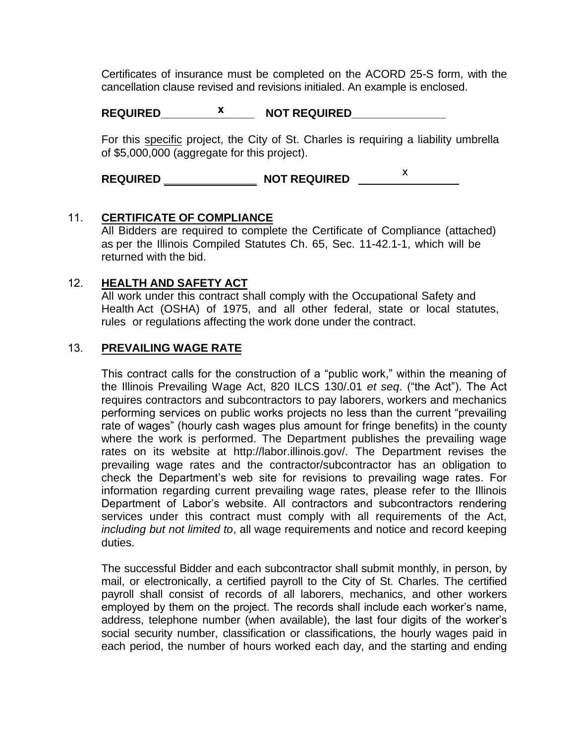Certificates of insurance must be completed on the ACORD 25-S form, with the cancellation clause revised and revisions initialed. An example is enclosed.

# **REQUIRED\_\_\_\_\_\_\_\_\_\_\_\_\_\_\_ NOT REQUIRED\_\_\_\_\_\_\_\_\_\_\_\_\_\_\_ x**

For this specific project, the City of St. Charles is requiring a liability umbrella of \$5,000,000 (aggregate for this project).

**REQUIRED \_\_\_\_\_\_\_\_\_\_\_\_\_\_\_ NOT REQUIRED**  x

#### 11. **CERTIFICATE OF COMPLIANCE**

All Bidders are required to complete the Certificate of Compliance (attached) as per the Illinois Compiled Statutes Ch. 65, Sec. 11-42.1-1, which will be returned with the bid.

#### 12. **HEALTH AND SAFETY ACT**

All work under this contract shall comply with the Occupational Safety and Health Act (OSHA) of 1975, and all other federal, state or local statutes, rules or regulations affecting the work done under the contract.

#### 13. **PREVAILING WAGE RATE**

This contract calls for the construction of a "public work," within the meaning of the Illinois Prevailing Wage Act, 820 ILCS 130/.01 *et seq*. ("the Act"). The Act requires contractors and subcontractors to pay laborers, workers and mechanics performing services on public works projects no less than the current "prevailing rate of wages" (hourly cash wages plus amount for fringe benefits) in the county where the work is performed. The Department publishes the prevailing wage rates on its website at http://labor.illinois.gov/. The Department revises the prevailing wage rates and the contractor/subcontractor has an obligation to check the Department's web site for revisions to prevailing wage rates. For information regarding current prevailing wage rates, please refer to the Illinois Department of Labor's website. All contractors and subcontractors rendering services under this contract must comply with all requirements of the Act, *including but not limited to*, all wage requirements and notice and record keeping duties.

The successful Bidder and each subcontractor shall submit monthly, in person, by mail, or electronically, a certified payroll to the City of St. Charles. The certified payroll shall consist of records of all laborers, mechanics, and other workers employed by them on the project. The records shall include each worker's name, address, telephone number (when available), the last four digits of the worker's social security number, classification or classifications, the hourly wages paid in each period, the number of hours worked each day, and the starting and ending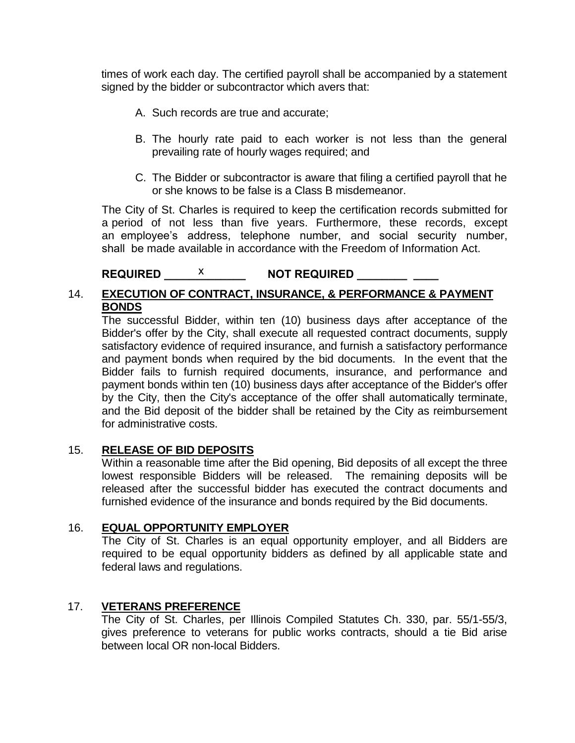times of work each day. The certified payroll shall be accompanied by a statement signed by the bidder or subcontractor which avers that:

- A. Such records are true and accurate;
- B. The hourly rate paid to each worker is not less than the general prevailing rate of hourly wages required; and
- C. The Bidder or subcontractor is aware that filing a certified payroll that he or she knows to be false is a Class B misdemeanor.

The City of St. Charles is required to keep the certification records submitted for a period of not less than five years. Furthermore, these records, except an employee's address, telephone number, and social security number, shall be made available in accordance with the Freedom of Information Act.

# REQUIRED \_\_\_\_\_<sup>X</sup> \_\_\_\_\_\_\_\_\_ NOT REQUIRED \_\_\_\_\_\_\_\_\_ \_\_\_\_

# 14. **EXECUTION OF CONTRACT, INSURANCE, & PERFORMANCE & PAYMENT BONDS**

The successful Bidder, within ten (10) business days after acceptance of the Bidder's offer by the City, shall execute all requested contract documents, supply satisfactory evidence of required insurance, and furnish a satisfactory performance and payment bonds when required by the bid documents. In the event that the Bidder fails to furnish required documents, insurance, and performance and payment bonds within ten (10) business days after acceptance of the Bidder's offer by the City, then the City's acceptance of the offer shall automatically terminate, and the Bid deposit of the bidder shall be retained by the City as reimbursement for administrative costs.

#### 15. **RELEASE OF BID DEPOSITS**

Within a reasonable time after the Bid opening, Bid deposits of all except the three lowest responsible Bidders will be released. The remaining deposits will be released after the successful bidder has executed the contract documents and furnished evidence of the insurance and bonds required by the Bid documents.

# 16. **EQUAL OPPORTUNITY EMPLOYER**

The City of St. Charles is an equal opportunity employer, and all Bidders are required to be equal opportunity bidders as defined by all applicable state and federal laws and regulations.

#### 17. **VETERANS PREFERENCE**

The City of St. Charles, per Illinois Compiled Statutes Ch. 330, par. 55/1-55/3, gives preference to veterans for public works contracts, should a tie Bid arise between local OR non-local Bidders.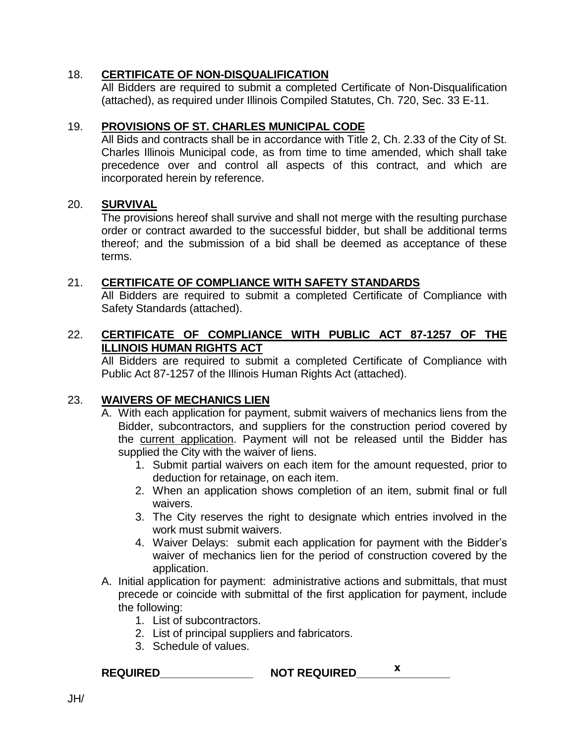### 18. **CERTIFICATE OF NON-DISQUALIFICATION**

All Bidders are required to submit a completed Certificate of Non-Disqualification (attached), as required under Illinois Compiled Statutes, Ch. 720, Sec. 33 E-11.

# 19. **PROVISIONS OF ST. CHARLES MUNICIPAL CODE**

All Bids and contracts shall be in accordance with Title 2, Ch. 2.33 of the City of St. Charles Illinois Municipal code, as from time to time amended, which shall take precedence over and control all aspects of this contract, and which are incorporated herein by reference.

#### 20. **SURVIVAL**

The provisions hereof shall survive and shall not merge with the resulting purchase order or contract awarded to the successful bidder, but shall be additional terms thereof; and the submission of a bid shall be deemed as acceptance of these terms.

#### 21. **CERTIFICATE OF COMPLIANCE WITH SAFETY STANDARDS**

All Bidders are required to submit a completed Certificate of Compliance with Safety Standards (attached).

# 22. **CERTIFICATE OF COMPLIANCE WITH PUBLIC ACT 87-1257 OF THE ILLINOIS HUMAN RIGHTS ACT**

All Bidders are required to submit a completed Certificate of Compliance with Public Act 87-1257 of the Illinois Human Rights Act (attached).

#### 23. **WAIVERS OF MECHANICS LIEN**

- A. With each application for payment, submit waivers of mechanics liens from the Bidder, subcontractors, and suppliers for the construction period covered by the current application. Payment will not be released until the Bidder has supplied the City with the waiver of liens.
	- 1. Submit partial waivers on each item for the amount requested, prior to deduction for retainage, on each item.
	- 2. When an application shows completion of an item, submit final or full waivers.
	- 3. The City reserves the right to designate which entries involved in the work must submit waivers.
	- 4. Waiver Delays: submit each application for payment with the Bidder's waiver of mechanics lien for the period of construction covered by the application.
- A. Initial application for payment: administrative actions and submittals, that must precede or coincide with submittal of the first application for payment, include the following:
	- 1. List of subcontractors.
	- 2. List of principal suppliers and fabricators.
	- 3. Schedule of values.

**REQUIRED\_\_\_\_\_\_\_\_\_\_\_\_\_\_\_ NOT REQUIRED\_\_\_\_\_\_\_\_\_\_\_\_\_\_\_ x**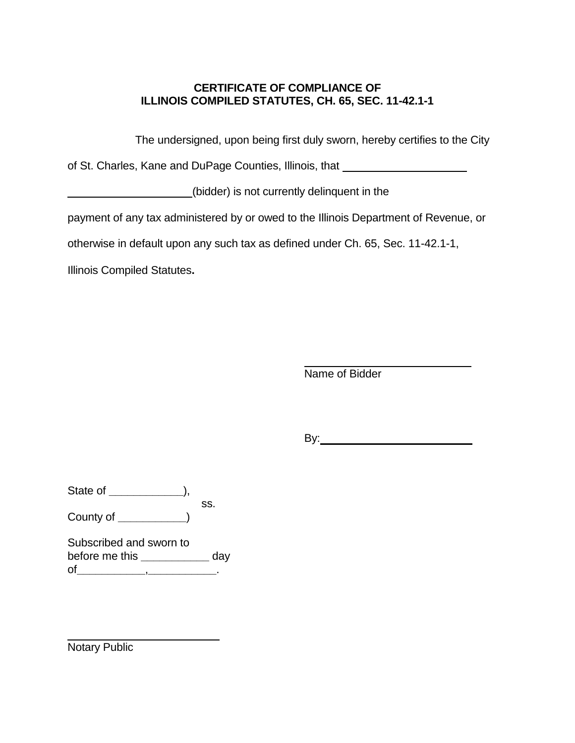# **CERTIFICATE OF COMPLIANCE OF ILLINOIS COMPILED STATUTES, CH. 65, SEC. 11-42.1-1**

The undersigned, upon being first duly sworn, hereby certifies to the City

of St. Charles, Kane and DuPage Counties, Illinois, that

(bidder) is not currently delinquent in the

payment of any tax administered by or owed to the Illinois Department of Revenue, or

otherwise in default upon any such tax as defined under Ch. 65, Sec. 11-42.1-1,

Illinois Compiled Statutes**.**

Name of Bidder

By:

State of **\_\_\_\_\_\_\_\_\_\_\_\_**), ss.

County of **\_\_\_\_\_\_\_\_\_\_\_**)

Subscribed and sworn to before me this **\_\_\_\_\_\_\_\_\_\_\_** day of**\_\_\_\_\_\_\_\_\_\_\_**,**\_\_\_\_\_\_\_\_\_\_\_**.

Notary Public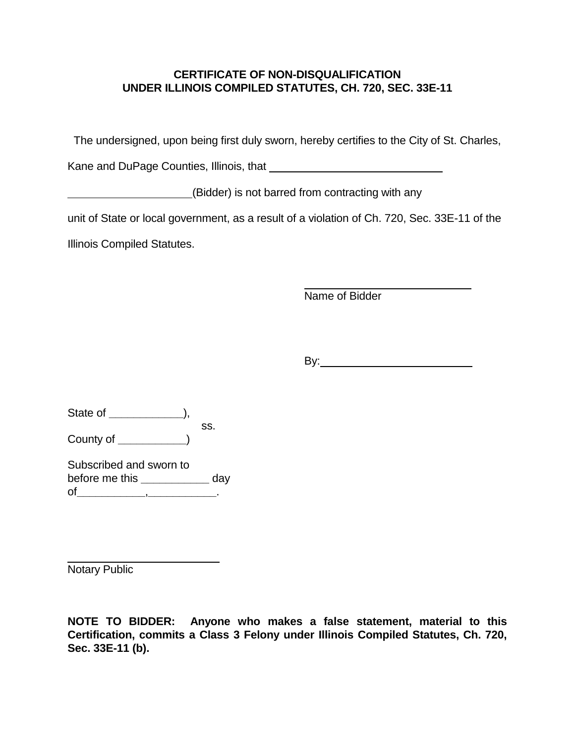# **CERTIFICATE OF NON-DISQUALIFICATION UNDER ILLINOIS COMPILED STATUTES, CH. 720, SEC. 33E-11**

The undersigned, upon being first duly sworn, hereby certifies to the City of St. Charles,

Kane and DuPage Counties, Illinois, that **Commens 2018** 

(Bidder) is not barred from contracting with any

unit of State or local government, as a result of a violation of Ch. 720, Sec. 33E-11 of the

Illinois Compiled Statutes.

Name of Bidder

By: **Example 20** 

State of **\_\_\_\_\_\_\_\_\_\_\_\_**), ss. County of **\_\_\_\_\_\_\_\_\_\_\_**)

Subscribed and sworn to before me this **\_\_\_\_\_\_\_\_\_\_\_** day of**\_\_\_\_\_\_\_\_\_\_\_**,**\_\_\_\_\_\_\_\_\_\_\_**.

Notary Public

**NOTE TO BIDDER: Anyone who makes a false statement, material to this Certification, commits a Class 3 Felony under Illinois Compiled Statutes, Ch. 720, Sec. 33E-11 (b).**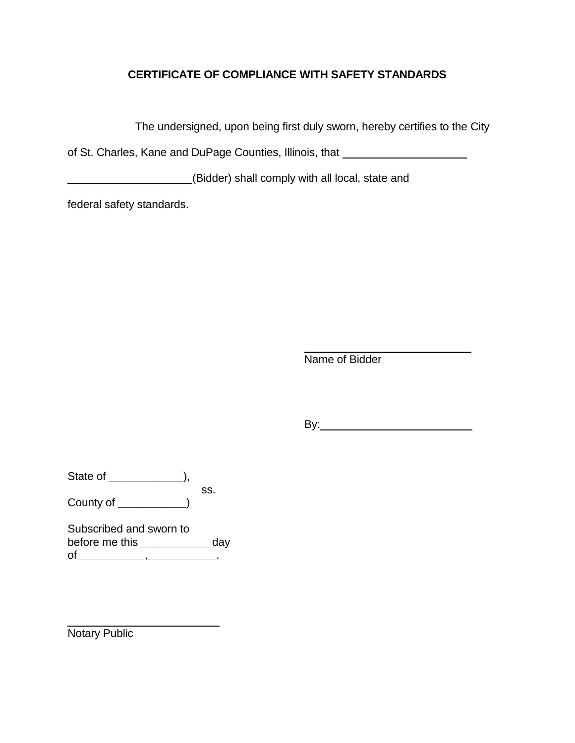# **CERTIFICATE OF COMPLIANCE WITH SAFETY STANDARDS**

The undersigned, upon being first duly sworn, hereby certifies to the City

of St. Charles, Kane and DuPage Counties, Illinois, that

(Bidder) shall comply with all local, state and

federal safety standards.

Name of Bidder

By: **Example 20** 

State of **\_\_\_\_\_\_\_\_\_\_\_\_**), ss.

County of **\_\_\_\_\_\_\_\_\_\_\_**)

Subscribed and sworn to before me this **\_\_\_\_\_\_\_\_\_\_\_** day of**\_\_\_\_\_\_\_\_\_\_\_**,**\_\_\_\_\_\_\_\_\_\_\_**.

Notary Public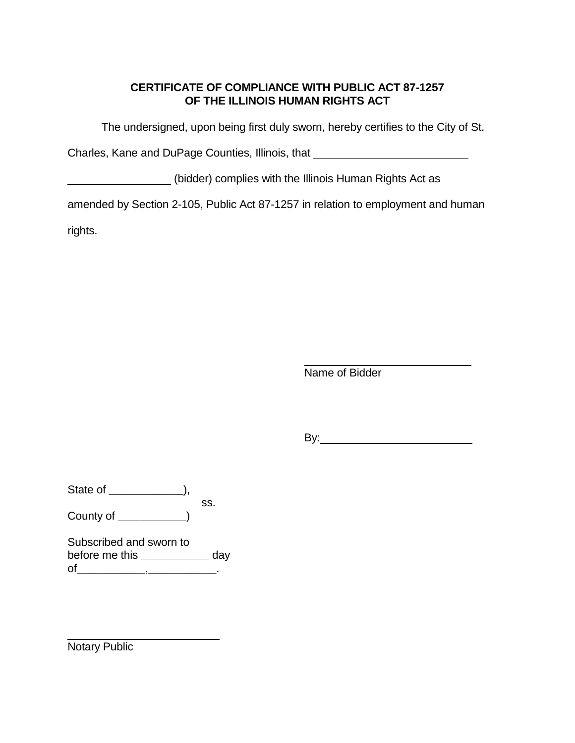# **CERTIFICATE OF COMPLIANCE WITH PUBLIC ACT 87-1257 OF THE ILLINOIS HUMAN RIGHTS ACT**

The undersigned, upon being first duly sworn, hereby certifies to the City of St.

Charles, Kane and DuPage Counties, Illinois, that

(bidder) complies with the Illinois Human Rights Act as

amended by Section 2-105, Public Act 87-1257 in relation to employment and human

rights.

Name of Bidder

By:

State of **\_\_\_\_\_\_\_\_\_\_\_\_**), ss.

County of **\_\_\_\_\_\_\_\_\_\_\_**)

Subscribed and sworn to before me this **\_\_\_\_\_\_\_\_\_\_\_** day of**\_\_\_\_\_\_\_\_\_\_\_**,**\_\_\_\_\_\_\_\_\_\_\_**.

Notary Public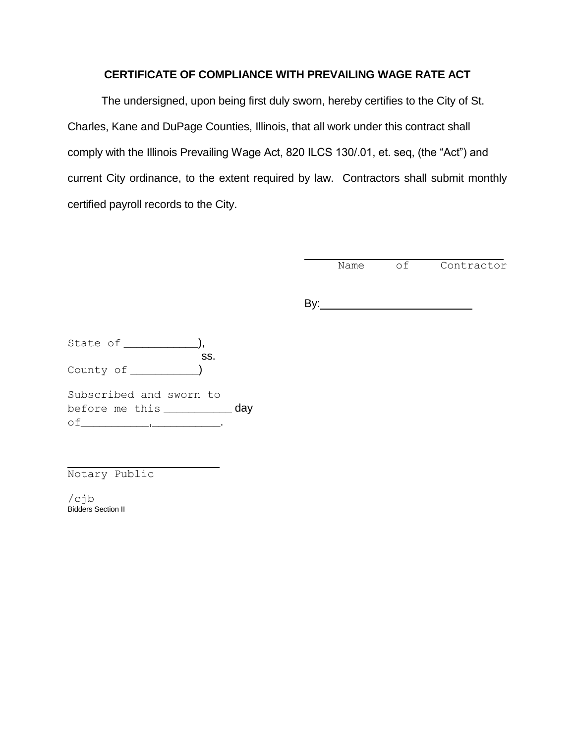#### **CERTIFICATE OF COMPLIANCE WITH PREVAILING WAGE RATE ACT**

The undersigned, upon being first duly sworn, hereby certifies to the City of St. Charles, Kane and DuPage Counties, Illinois, that all work under this contract shall comply with the Illinois Prevailing Wage Act, 820 ILCS 130/.01, et. seq, (the "Act") and current City ordinance, to the extent required by law. Contractors shall submit monthly certified payroll records to the City.

Name of Contractor

By:

State of **\_\_\_\_\_\_\_\_\_\_\_\_**), ss. County of **\_\_\_\_\_\_\_\_\_\_\_**) Subscribed and sworn to before me this **\_\_\_\_\_\_\_\_\_\_\_** day of**\_\_\_\_\_\_\_\_\_\_\_**,**\_\_\_\_\_\_\_\_\_\_\_**.

Notary Public

/cjb Bidders Section II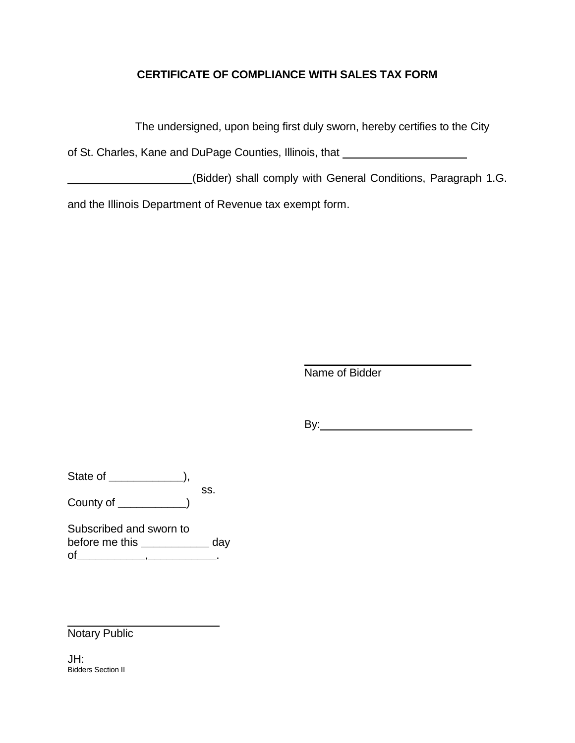# **CERTIFICATE OF COMPLIANCE WITH SALES TAX FORM**

The undersigned, upon being first duly sworn, hereby certifies to the City

of St. Charles, Kane and DuPage Counties, Illinois, that

(Bidder) shall comply with General Conditions, Paragraph 1.G.

and the Illinois Department of Revenue tax exempt form.

Name of Bidder

By: when the same state of the state of the state of the state of the state of the state of the state of the state of the state of the state of the state of the state of the state of the state of the state of the state of

State of **\_\_\_\_\_\_\_\_\_\_\_\_**), ss. County of **\_\_\_\_\_\_\_\_\_\_\_**)

Subscribed and sworn to before me this **\_\_\_\_\_\_\_\_\_\_\_** day of**\_\_\_\_\_\_\_\_\_\_\_**,**\_\_\_\_\_\_\_\_\_\_\_**.

Notary Public

JH: Bidders Section II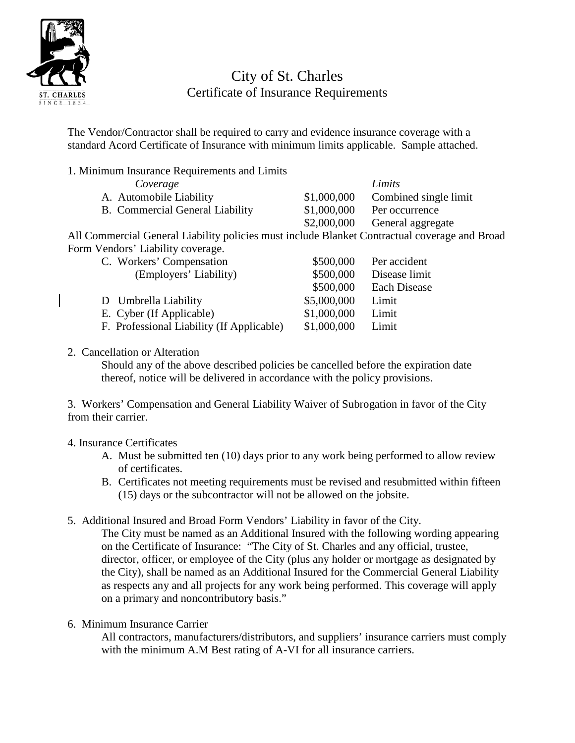

# City of St. Charles Certificate of Insurance Requirements

The Vendor/Contractor shall be required to carry and evidence insurance coverage with a standard Acord Certificate of Insurance with minimum limits applicable. Sample attached.

1. Minimum Insurance Requirements and Limits

| Coverage                                                                                |             | Limits                        |
|-----------------------------------------------------------------------------------------|-------------|-------------------------------|
| A. Automobile Liability                                                                 | \$1,000,000 | Combined single limit         |
| B. Commercial General Liability                                                         | \$1,000,000 | Per occurrence                |
|                                                                                         |             | \$2,000,000 General aggregate |
| Commercial General Liability policies must include Blanket Contractual coverage and Bro |             |                               |

All Commercial General Liability policies must include Blanket Contractual coverage and Broad Form Vendors' Liability coverage.

| C. Workers' Compensation                  | \$500,000   | Per accident        |
|-------------------------------------------|-------------|---------------------|
| (Employers' Liability)                    | \$500,000   | Disease limit       |
|                                           | \$500,000   | <b>Each Disease</b> |
| D Umbrella Liability                      | \$5,000,000 | Limit               |
| E. Cyber (If Applicable)                  | \$1,000,000 | Limit               |
| F. Professional Liability (If Applicable) | \$1,000,000 | Limit               |

2. Cancellation or Alteration

Should any of the above described policies be cancelled before the expiration date thereof, notice will be delivered in accordance with the policy provisions.

3. Workers' Compensation and General Liability Waiver of Subrogation in favor of the City from their carrier.

# 4. Insurance Certificates

- A. Must be submitted ten (10) days prior to any work being performed to allow review of certificates.
- B. Certificates not meeting requirements must be revised and resubmitted within fifteen (15) days or the subcontractor will not be allowed on the jobsite.

5. Additional Insured and Broad Form Vendors' Liability in favor of the City.

The City must be named as an Additional Insured with the following wording appearing on the Certificate of Insurance: "The City of St. Charles and any official, trustee, director, officer, or employee of the City (plus any holder or mortgage as designated by the City), shall be named as an Additional Insured for the Commercial General Liability as respects any and all projects for any work being performed. This coverage will apply on a primary and noncontributory basis."

6. Minimum Insurance Carrier

All contractors, manufacturers/distributors, and suppliers' insurance carriers must comply with the minimum A.M Best rating of A-VI for all insurance carriers.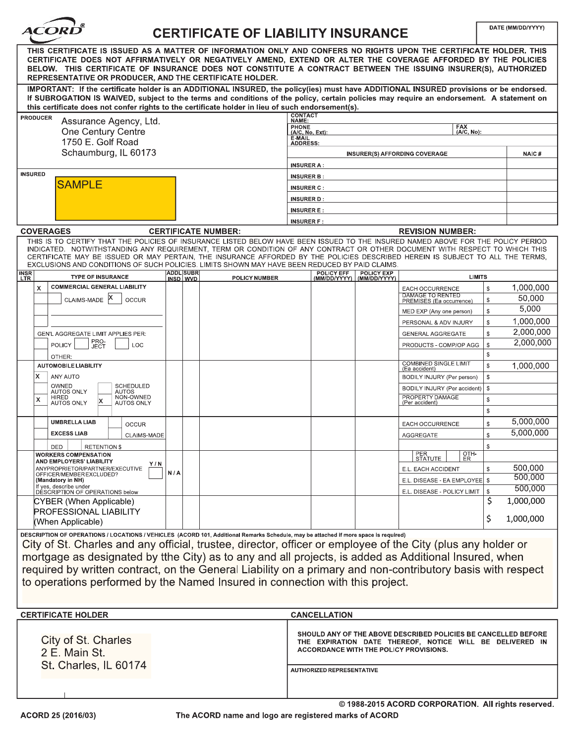| <i><b>ACORD</b></i><br><b>CERTIFICATE OF LIABILITY INSURANCE</b>                                                                                                                                                                                                                                                                                                                                                                                                                                                                                              |                              |                            | DATE (MM/DD/YYYY)                            |                                   |                                   |                                                                                                                                                                      |                              |                    |
|---------------------------------------------------------------------------------------------------------------------------------------------------------------------------------------------------------------------------------------------------------------------------------------------------------------------------------------------------------------------------------------------------------------------------------------------------------------------------------------------------------------------------------------------------------------|------------------------------|----------------------------|----------------------------------------------|-----------------------------------|-----------------------------------|----------------------------------------------------------------------------------------------------------------------------------------------------------------------|------------------------------|--------------------|
| THIS CERTIFICATE IS ISSUED AS A MATTER OF INFORMATION ONLY AND CONFERS NO RIGHTS UPON THE CERTIFICATE HOLDER. THIS<br>CERTIFICATE DOES NOT AFFIRMATIVELY OR NEGATIVELY AMEND, EXTEND OR ALTER THE COVERAGE AFFORDED BY THE POLICIES<br>BELOW. THIS CERTIFICATE OF INSURANCE DOES NOT CONSTITUTE A CONTRACT BETWEEN THE ISSUING INSURER(S), AUTHORIZED<br>REPRESENTATIVE OR PRODUCER, AND THE CERTIFICATE HOLDER.                                                                                                                                              |                              |                            |                                              |                                   |                                   |                                                                                                                                                                      |                              |                    |
| IMPORTANT: If the certificate holder is an ADDITIONAL INSURED, the policy(ies) must have ADDITIONAL INSURED provisions or be endorsed.<br>If SUBROGATION IS WAIVED, subject to the terms and conditions of the policy, certain policies may require an endorsement. A statement on<br>this certificate does not confer rights to the certificate holder in lieu of such endorsement(s).                                                                                                                                                                       |                              |                            |                                              |                                   |                                   |                                                                                                                                                                      |                              |                    |
| <b>PRODUCER</b><br>Assurance Agency, Ltd.                                                                                                                                                                                                                                                                                                                                                                                                                                                                                                                     |                              |                            | <b>CONTACT</b><br>NAME:                      |                                   |                                   |                                                                                                                                                                      |                              |                    |
| One Century Centre                                                                                                                                                                                                                                                                                                                                                                                                                                                                                                                                            |                              |                            | <b>PHONE</b><br>$(A/C, No, Ext)$ :<br>E-MAIL |                                   |                                   | <b>FAX</b><br>(A/C, No):                                                                                                                                             |                              |                    |
| 1750 E. Golf Road                                                                                                                                                                                                                                                                                                                                                                                                                                                                                                                                             |                              |                            | <b>ADDRESS:</b>                              |                                   |                                   |                                                                                                                                                                      |                              |                    |
| Schaumburg, IL 60173                                                                                                                                                                                                                                                                                                                                                                                                                                                                                                                                          |                              |                            | <b>INSURER A:</b>                            |                                   |                                   | <b>INSURER(S) AFFORDING COVERAGE</b>                                                                                                                                 |                              | <b>NAIC#</b>       |
| <b>INSURED</b>                                                                                                                                                                                                                                                                                                                                                                                                                                                                                                                                                |                              |                            | <b>INSURER B:</b>                            |                                   |                                   |                                                                                                                                                                      |                              |                    |
| <b>SAMPLE</b>                                                                                                                                                                                                                                                                                                                                                                                                                                                                                                                                                 |                              |                            | <b>INSURER C:</b>                            |                                   |                                   |                                                                                                                                                                      |                              |                    |
|                                                                                                                                                                                                                                                                                                                                                                                                                                                                                                                                                               |                              |                            | <b>INSURER D:</b>                            |                                   |                                   |                                                                                                                                                                      |                              |                    |
|                                                                                                                                                                                                                                                                                                                                                                                                                                                                                                                                                               |                              |                            | <b>INSURER E:</b>                            |                                   |                                   |                                                                                                                                                                      |                              |                    |
| <b>COVERAGES</b>                                                                                                                                                                                                                                                                                                                                                                                                                                                                                                                                              |                              | <b>CERTIFICATE NUMBER:</b> | <b>INSURER F:</b>                            |                                   |                                   | <b>REVISION NUMBER:</b>                                                                                                                                              |                              |                    |
| THIS IS TO CERTIFY THAT THE POLICIES OF INSURANCE LISTED BELOW HAVE BEEN ISSUED TO THE INSURED NAMED ABOVE FOR THE POLICY PERIOD                                                                                                                                                                                                                                                                                                                                                                                                                              |                              |                            |                                              |                                   |                                   |                                                                                                                                                                      |                              |                    |
| INDICATED. NOTWITHSTANDING ANY REQUIREMENT, TERM OR CONDITION OF ANY CONTRACT OR OTHER DOCUMENT WITH RESPECT TO WHICH THIS<br>CERTIFICATE MAY BE ISSUED OR MAY PERTAIN, THE INSURANCE AFFORDED BY THE POLICIES DESCRIBED HEREIN IS SUBJECT TO ALL THE TERMS,<br>EXCLUSIONS AND CONDITIONS OF SUCH POLICIES. LIMITS SHOWN MAY HAVE BEEN REDUCED BY PAID CLAIMS.                                                                                                                                                                                                |                              |                            |                                              |                                   |                                   |                                                                                                                                                                      |                              |                    |
| <b>INSR</b><br><b>TYPE OF INSURANCE</b><br>LTR                                                                                                                                                                                                                                                                                                                                                                                                                                                                                                                | <b>ADDL SUBR</b><br>INSD WVD | <b>POLICY NUMBER</b>       |                                              | <b>POLICY EFF</b><br>(MM/DD/YYYY) | <b>POLICY EXP</b><br>(MM/DD/YYYY) |                                                                                                                                                                      | <b>LIMITS</b>                |                    |
| <b>COMMERCIAL GENERAL LIABILITY</b><br>X                                                                                                                                                                                                                                                                                                                                                                                                                                                                                                                      |                              |                            |                                              |                                   |                                   | EACH OCCURRENCE<br>DAMAGE TO RENTED                                                                                                                                  | $\mathbb{S}$                 | 1,000,000          |
| CLAIMS-MADE<br><b>OCCUR</b>                                                                                                                                                                                                                                                                                                                                                                                                                                                                                                                                   |                              |                            |                                              |                                   |                                   | PREMISES (Ea occurrence)                                                                                                                                             | $\mathbb{S}$                 | 50,000<br>5,000    |
|                                                                                                                                                                                                                                                                                                                                                                                                                                                                                                                                                               |                              |                            |                                              |                                   |                                   | MED EXP (Any one person)<br>PERSONAL & ADV INJURY                                                                                                                    | $\mathbb{S}$<br>\$           | 1,000,000          |
| GEN'L AGGREGATE LIMIT APPLIES PER:                                                                                                                                                                                                                                                                                                                                                                                                                                                                                                                            |                              |                            |                                              |                                   |                                   | <b>GENERAL AGGREGATE</b>                                                                                                                                             | \$                           | 2,000,000          |
| PRO-<br>JECT<br><b>POLICY</b><br>LOC<br>OTHER:                                                                                                                                                                                                                                                                                                                                                                                                                                                                                                                |                              |                            |                                              |                                   |                                   | PRODUCTS - COMP/OP AGG                                                                                                                                               | $\mathbb{S}$<br>$\mathbb{S}$ | 2,000,000          |
| <b>AUTOMOBILE LIABILITY</b>                                                                                                                                                                                                                                                                                                                                                                                                                                                                                                                                   |                              |                            |                                              |                                   |                                   | <b>COMBINED SINGLE LIMIT</b><br>(Ea accident)                                                                                                                        | \$                           | 1,000,000          |
| ANY AUTO<br>x                                                                                                                                                                                                                                                                                                                                                                                                                                                                                                                                                 |                              |                            |                                              |                                   |                                   | BODILY INJURY (Per person)                                                                                                                                           | \$                           |                    |
| OWNED<br><b>SCHEDULED</b><br><b>AUTOS ONLY</b><br><b>AUTOS</b><br>NON-OWNED<br>HIRED                                                                                                                                                                                                                                                                                                                                                                                                                                                                          |                              |                            |                                              |                                   |                                   | BODILY INJURY (Per accident)<br>PROPERTY DAMAGE                                                                                                                      | S.                           |                    |
| x<br>x<br><b>AUTOS ONLY</b><br><b>AUTOS ONLY</b>                                                                                                                                                                                                                                                                                                                                                                                                                                                                                                              |                              |                            |                                              |                                   |                                   | (Per accident)                                                                                                                                                       | $\mathbb{S}$<br>$\mathbb{S}$ |                    |
| <b>UMBRELLA LIAB</b><br><b>OCCUR</b>                                                                                                                                                                                                                                                                                                                                                                                                                                                                                                                          |                              |                            |                                              |                                   |                                   | EACH OCCURRENCE                                                                                                                                                      | \$                           | 5,000,000          |
| <b>EXCESS LIAB</b><br><b>CLAIMS-MADE</b>                                                                                                                                                                                                                                                                                                                                                                                                                                                                                                                      |                              |                            |                                              |                                   |                                   | <b>AGGREGATE</b>                                                                                                                                                     | \$                           | 5,000,000          |
| DED<br>RETENTION \$                                                                                                                                                                                                                                                                                                                                                                                                                                                                                                                                           |                              |                            |                                              |                                   |                                   |                                                                                                                                                                      | \$                           |                    |
| <b>WORKERS COMPENSATION</b><br>AND EMPLOYERS' LIABILITY<br>Y / N                                                                                                                                                                                                                                                                                                                                                                                                                                                                                              |                              |                            |                                              |                                   |                                   | PER<br>STATUTE<br>OTH-<br>ER                                                                                                                                         |                              |                    |
| ANYPROPRIETOR/PARTNER/EXECUTIVE<br>OFFICER/MEMBER EXCLUDED?                                                                                                                                                                                                                                                                                                                                                                                                                                                                                                   | N/A                          |                            |                                              |                                   |                                   | E.L. EACH ACCIDENT                                                                                                                                                   |                              | 500,000<br>500,000 |
| (Mandatory in NH)<br>If yes, describe under                                                                                                                                                                                                                                                                                                                                                                                                                                                                                                                   |                              |                            |                                              |                                   |                                   | E.L. DISEASE - EA EMPLOYEE   \$<br>E.L. DISEASE - POLICY LIMIT                                                                                                       | S.                           | 500,000            |
| DÉSCRIPTION OF OPERATIONS below<br>CYBER (When Applicable)                                                                                                                                                                                                                                                                                                                                                                                                                                                                                                    |                              |                            |                                              |                                   |                                   |                                                                                                                                                                      | \$                           | 1,000,000          |
| PROFESSIONAL LIABILITY                                                                                                                                                                                                                                                                                                                                                                                                                                                                                                                                        |                              |                            |                                              |                                   |                                   |                                                                                                                                                                      | \$                           | 1,000,000          |
| (When Applicable)                                                                                                                                                                                                                                                                                                                                                                                                                                                                                                                                             |                              |                            |                                              |                                   |                                   |                                                                                                                                                                      |                              |                    |
| DESCRIPTION OF OPERATIONS / LOCATIONS / VEHICLES (ACORD 101, Additional Remarks Schedule, may be attached if more space is required)<br>City of St. Charles and any official, trustee, director, officer or employee of the City (plus any holder or<br>mortgage as designated by tthe City) as to any and all projects, is added as Additional Insured, when<br>required by written contract, on the General Liability on a primary and non-contributory basis with respect<br>to operations performed by the Named Insured in connection with this project. |                              |                            |                                              |                                   |                                   |                                                                                                                                                                      |                              |                    |
| <b>CERTIFICATE HOLDER</b>                                                                                                                                                                                                                                                                                                                                                                                                                                                                                                                                     |                              |                            |                                              | <b>CANCELLATION</b>               |                                   |                                                                                                                                                                      |                              |                    |
| City of St. Charles<br>2 E. Main St.<br>St. Charles, IL 60174                                                                                                                                                                                                                                                                                                                                                                                                                                                                                                 |                              |                            |                                              |                                   |                                   | SHOULD ANY OF THE ABOVE DESCRIBED POLICIES BE CANCELLED BEFORE<br>THE EXPIRATION DATE THEREOF, NOTICE WILL BE DELIVERED IN<br>ACCORDANCE WITH THE POLICY PROVISIONS. |                              |                    |
|                                                                                                                                                                                                                                                                                                                                                                                                                                                                                                                                                               |                              |                            |                                              | <b>AUTHORIZED REPRESENTATIVE</b>  |                                   |                                                                                                                                                                      |                              |                    |
|                                                                                                                                                                                                                                                                                                                                                                                                                                                                                                                                                               |                              |                            |                                              |                                   |                                   | © 1988-2015 ACORD CORPORATION. All rights reserved.                                                                                                                  |                              |                    |
|                                                                                                                                                                                                                                                                                                                                                                                                                                                                                                                                                               |                              |                            |                                              |                                   |                                   |                                                                                                                                                                      |                              |                    |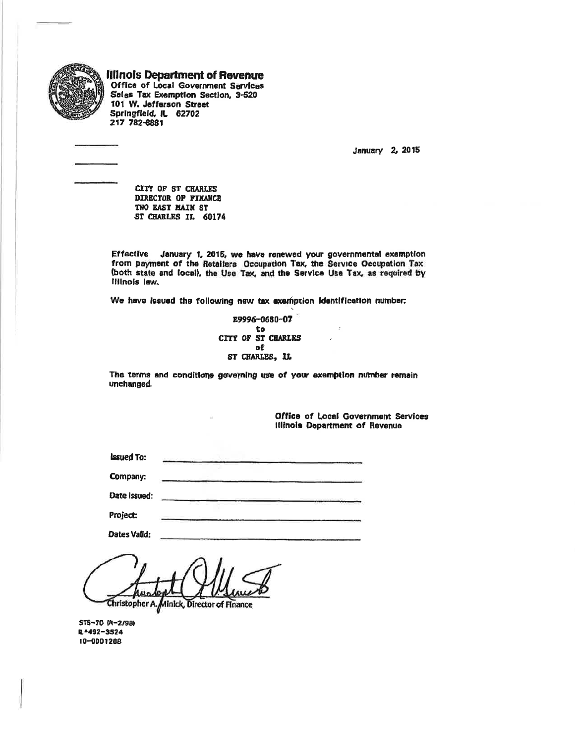

**Illinois Department of Revenue** Office of Local Government Services Sales Tax Exemption Section, 3-520 101 W. Jefferson Street Springfield, IL 62702

217 782-8881

January 2, 2015

CITY OF ST CHARLES DIRECTOR OF FINANCE TWO EAST MAIN ST ST CHARLES IL 60174

Effective January 1, 2015, we have renewed your governmental exemption from payment of the Retailers Occupation Tax, the Service Occupation Tax (both state and local), the Use Tax, and the Service Use Tax, as required by **Hinois law.** 

We have issued the following new tax exemption identification number:

E9996-0680-07 to CITY OF ST CHARLES of ST CHARLES, IL

The terms and conditions governing use of your exemption number remain unchanged.

> Office of Local Government Services Illinois Department of Revenue

**Issued To:** 

Company:

Date Issued:

Project:

Dates Valid:

Christopher A. Minick, Director of Finance

STS-70 (R-2/98) R-492-3524 10-0001268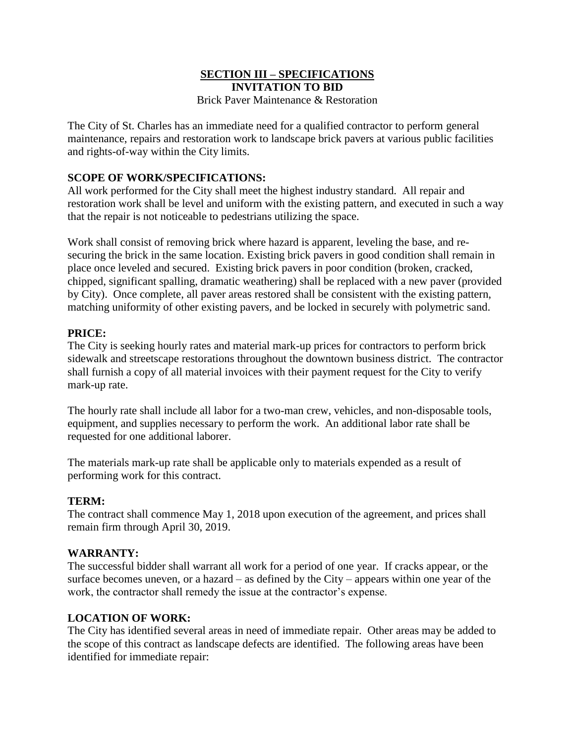#### **SECTION III – SPECIFICATIONS INVITATION TO BID** Brick Paver Maintenance & Restoration

The City of St. Charles has an immediate need for a qualified contractor to perform general maintenance, repairs and restoration work to landscape brick pavers at various public facilities and rights-of-way within the City limits.

#### **SCOPE OF WORK/SPECIFICATIONS:**

All work performed for the City shall meet the highest industry standard. All repair and restoration work shall be level and uniform with the existing pattern, and executed in such a way that the repair is not noticeable to pedestrians utilizing the space.

Work shall consist of removing brick where hazard is apparent, leveling the base, and resecuring the brick in the same location. Existing brick pavers in good condition shall remain in place once leveled and secured. Existing brick pavers in poor condition (broken, cracked, chipped, significant spalling, dramatic weathering) shall be replaced with a new paver (provided by City). Once complete, all paver areas restored shall be consistent with the existing pattern, matching uniformity of other existing pavers, and be locked in securely with polymetric sand.

#### **PRICE:**

The City is seeking hourly rates and material mark-up prices for contractors to perform brick sidewalk and streetscape restorations throughout the downtown business district. The contractor shall furnish a copy of all material invoices with their payment request for the City to verify mark-up rate.

The hourly rate shall include all labor for a two-man crew, vehicles, and non-disposable tools, equipment, and supplies necessary to perform the work. An additional labor rate shall be requested for one additional laborer.

The materials mark-up rate shall be applicable only to materials expended as a result of performing work for this contract.

#### **TERM:**

The contract shall commence May 1, 2018 upon execution of the agreement, and prices shall remain firm through April 30, 2019.

#### **WARRANTY:**

The successful bidder shall warrant all work for a period of one year. If cracks appear, or the surface becomes uneven, or a hazard – as defined by the City – appears within one year of the work, the contractor shall remedy the issue at the contractor's expense.

#### **LOCATION OF WORK:**

The City has identified several areas in need of immediate repair. Other areas may be added to the scope of this contract as landscape defects are identified. The following areas have been identified for immediate repair: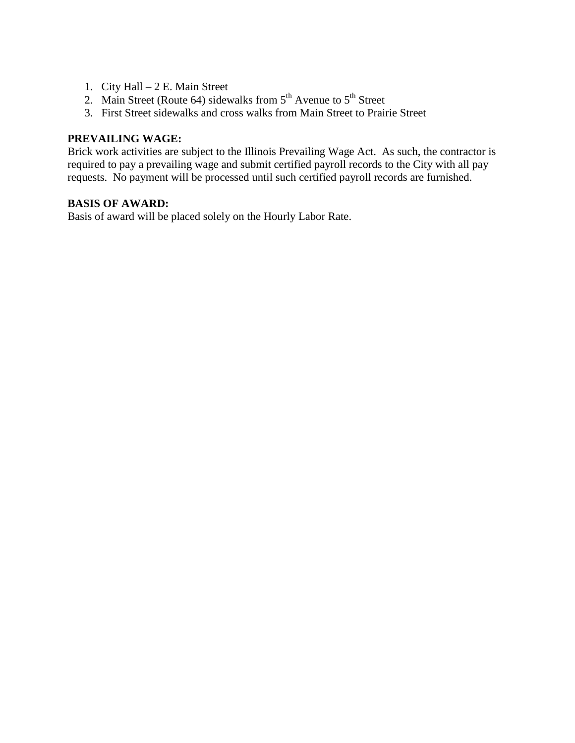- 1. City Hall 2 E. Main Street
- 2. Main Street (Route 64) sidewalks from  $5<sup>th</sup>$  Avenue to  $5<sup>th</sup>$  Street
- 3. First Street sidewalks and cross walks from Main Street to Prairie Street

#### **PREVAILING WAGE:**

Brick work activities are subject to the Illinois Prevailing Wage Act. As such, the contractor is required to pay a prevailing wage and submit certified payroll records to the City with all pay requests. No payment will be processed until such certified payroll records are furnished.

#### **BASIS OF AWARD:**

Basis of award will be placed solely on the Hourly Labor Rate.